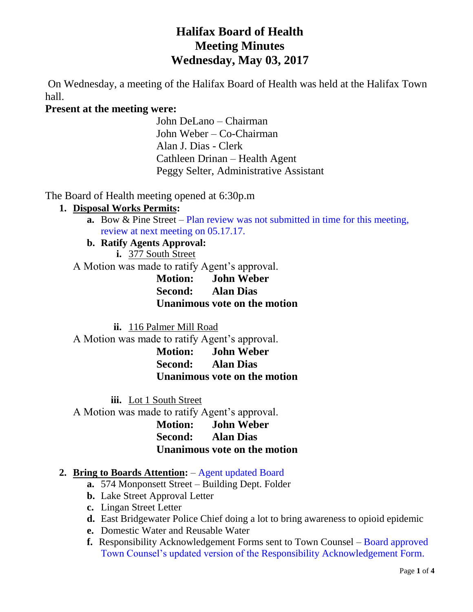# **Halifax Board of Health Meeting Minutes Wednesday, May 03, 2017**

On Wednesday, a meeting of the Halifax Board of Health was held at the Halifax Town hall.

# **Present at the meeting were:**

John DeLano – Chairman John Weber – Co-Chairman Alan J. Dias - Clerk Cathleen Drinan – Health Agent Peggy Selter, Administrative Assistant

The Board of Health meeting opened at 6:30p.m

# **1. Disposal Works Permits:**

**a.** Bow & Pine Street – Plan review was not submitted in time for this meeting, review at next meeting on 05.17.17.

# **b. Ratify Agents Approval:**

**i.** 377 South Street

A Motion was made to ratify Agent's approval.

**Motion: John Weber Second: Alan Dias Unanimous vote on the motion**

**ii.** 116 Palmer Mill Road

A Motion was made to ratify Agent's approval.

**Motion: John Weber Second: Alan Dias Unanimous vote on the motion**

**iii.** Lot 1 South Street

A Motion was made to ratify Agent's approval.

**Motion: John Weber Second: Alan Dias Unanimous vote on the motion**

# **2. Bring to Boards Attention:** – Agent updated Board

- **a.** 574 Monponsett Street Building Dept. Folder
- **b.** Lake Street Approval Letter
- **c.** Lingan Street Letter
- **d.** East Bridgewater Police Chief doing a lot to bring awareness to opioid epidemic
- **e.** Domestic Water and Reusable Water
- **f.** Responsibility Acknowledgement Forms sent to Town Counsel Board approved Town Counsel's updated version of the Responsibility Acknowledgement Form.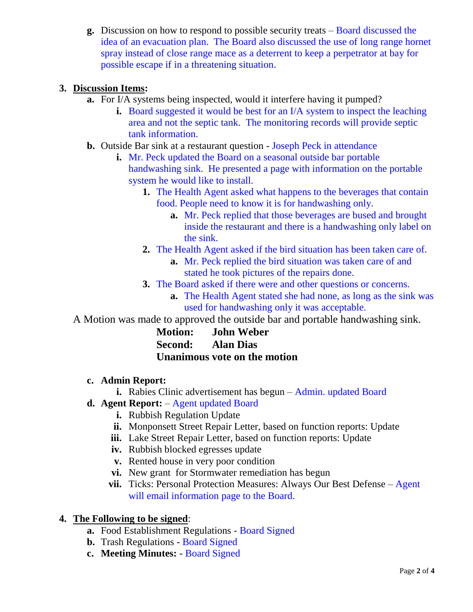**g.** Discussion on how to respond to possible security treats – Board discussed the idea of an evacuation plan. The Board also discussed the use of long range hornet spray instead of close range mace as a deterrent to keep a perpetrator at bay for possible escape if in a threatening situation.

#### **3. Discussion Items:**

- **a.** For I/A systems being inspected, would it interfere having it pumped?
	- **i.** Board suggested it would be best for an I/A system to inspect the leaching area and not the septic tank. The monitoring records will provide septic tank information.
- **b.** Outside Bar sink at a restaurant question Joseph Peck in attendance
	- **i.** Mr. Peck updated the Board on a seasonal outside bar portable handwashing sink. He presented a page with information on the portable system he would like to install.
		- **1.** The Health Agent asked what happens to the beverages that contain food. People need to know it is for handwashing only.
			- **a.** Mr. Peck replied that those beverages are bused and brought inside the restaurant and there is a handwashing only label on the sink.
		- **2.** The Health Agent asked if the bird situation has been taken care of.
			- **a.** Mr. Peck replied the bird situation was taken care of and stated he took pictures of the repairs done.
		- **3.** The Board asked if there were and other questions or concerns.
			- **a.** The Health Agent stated she had none, as long as the sink was used for handwashing only it was acceptable.

A Motion was made to approved the outside bar and portable handwashing sink.

| <b>Motion:</b> | <b>John Weber</b>            |
|----------------|------------------------------|
| Second:        | <b>Alan Dias</b>             |
|                | Unanimous vote on the motion |

#### **c. Admin Report:**

- **i.** Rabies Clinic advertisement has begun Admin. updated Board
- **d. Agent Report:** Agent updated Board
	- **i.** Rubbish Regulation Update
	- **ii.** Monponsett Street Repair Letter, based on function reports: Update
	- **iii.** Lake Street Repair Letter, based on function reports: Update
	- **iv.** Rubbish blocked egresses update
	- **v.** Rented house in very poor condition
	- **vi.** New grant for Stormwater remediation has begun
	- **vii.** Ticks: Personal Protection Measures: Always Our Best Defense Agent will email information page to the Board.

#### **4. The Following to be signed**:

- **a.** Food Establishment Regulations Board Signed
- **b.** Trash Regulations Board Signed
- **c. Meeting Minutes:**  Board Signed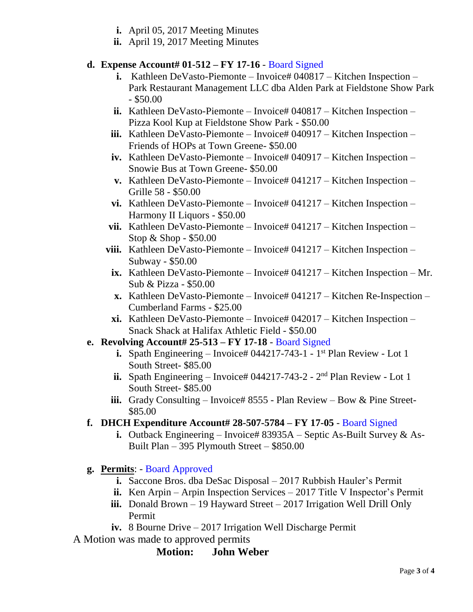- **i.** April 05, 2017 Meeting Minutes
- **ii.** April 19, 2017 Meeting Minutes

# **d. Expense Account# 01-512 – FY 17-16** - Board Signed

- **i.** Kathleen DeVasto-Piemonte Invoice# 040817 Kitchen Inspection Park Restaurant Management LLC dba Alden Park at Fieldstone Show Park - \$50.00
- **ii.** Kathleen DeVasto-Piemonte Invoice# 040817 Kitchen Inspection Pizza Kool Kup at Fieldstone Show Park - \$50.00
- **iii.** Kathleen DeVasto-Piemonte Invoice#  $040917$  Kitchen Inspection Friends of HOPs at Town Greene- \$50.00
- **iv.** Kathleen DeVasto-Piemonte Invoice# 040917 Kitchen Inspection Snowie Bus at Town Greene- \$50.00
- **v.** Kathleen DeVasto-Piemonte Invoice# 041217 Kitchen Inspection Grille 58 - \$50.00
- vi. Kathleen DeVasto-Piemonte Invoice# 041217 Kitchen Inspection Harmony II Liquors - \$50.00
- vii. Kathleen DeVasto-Piemonte Invoice# 041217 Kitchen Inspection Stop & Shop - \$50.00
- viii. Kathleen DeVasto-Piemonte Invoice# 041217 Kitchen Inspection Subway - \$50.00
	- **ix.** Kathleen DeVasto-Piemonte Invoice# 041217 Kitchen Inspection Mr. Sub & Pizza - \$50.00
	- **x.** Kathleen DeVasto-Piemonte Invoice# 041217 Kitchen Re-Inspection Cumberland Farms - \$25.00
	- **xi.** Kathleen DeVasto-Piemonte Invoice# 042017 Kitchen Inspection Snack Shack at Halifax Athletic Field - \$50.00

#### **e. Revolving Account# 25-513 – FY 17-18** - Board Signed

- **i.** Spath Engineering Invoice# 044217-743-1 1<sup>st</sup> Plan Review Lot 1 South Street- \$85.00
- ii. Spath Engineering  $-$  Invoice# 044217-743-2  $2<sup>nd</sup>$  Plan Review Lot 1 South Street- \$85.00
- iii. Grady Consulting Invoice# 8555 Plan Review Bow & Pine Street-\$85.00
- **f. DHCH Expenditure Account# 28-507-5784 – FY 17-05** Board Signed
	- **i.** Outback Engineering Invoice# 83935A Septic As-Built Survey & As-Built Plan – 395 Plymouth Street – \$850.00
- **g. Permits**: Board Approved
	- **i.** Saccone Bros. dba DeSac Disposal 2017 Rubbish Hauler's Permit
	- **ii.** Ken Arpin Arpin Inspection Services 2017 Title V Inspector's Permit
	- **iii.** Donald Brown 19 Hayward Street 2017 Irrigation Well Drill Only Permit
	- **iv.** 8 Bourne Drive 2017 Irrigation Well Discharge Permit

A Motion was made to approved permits

# **Motion: John Weber**